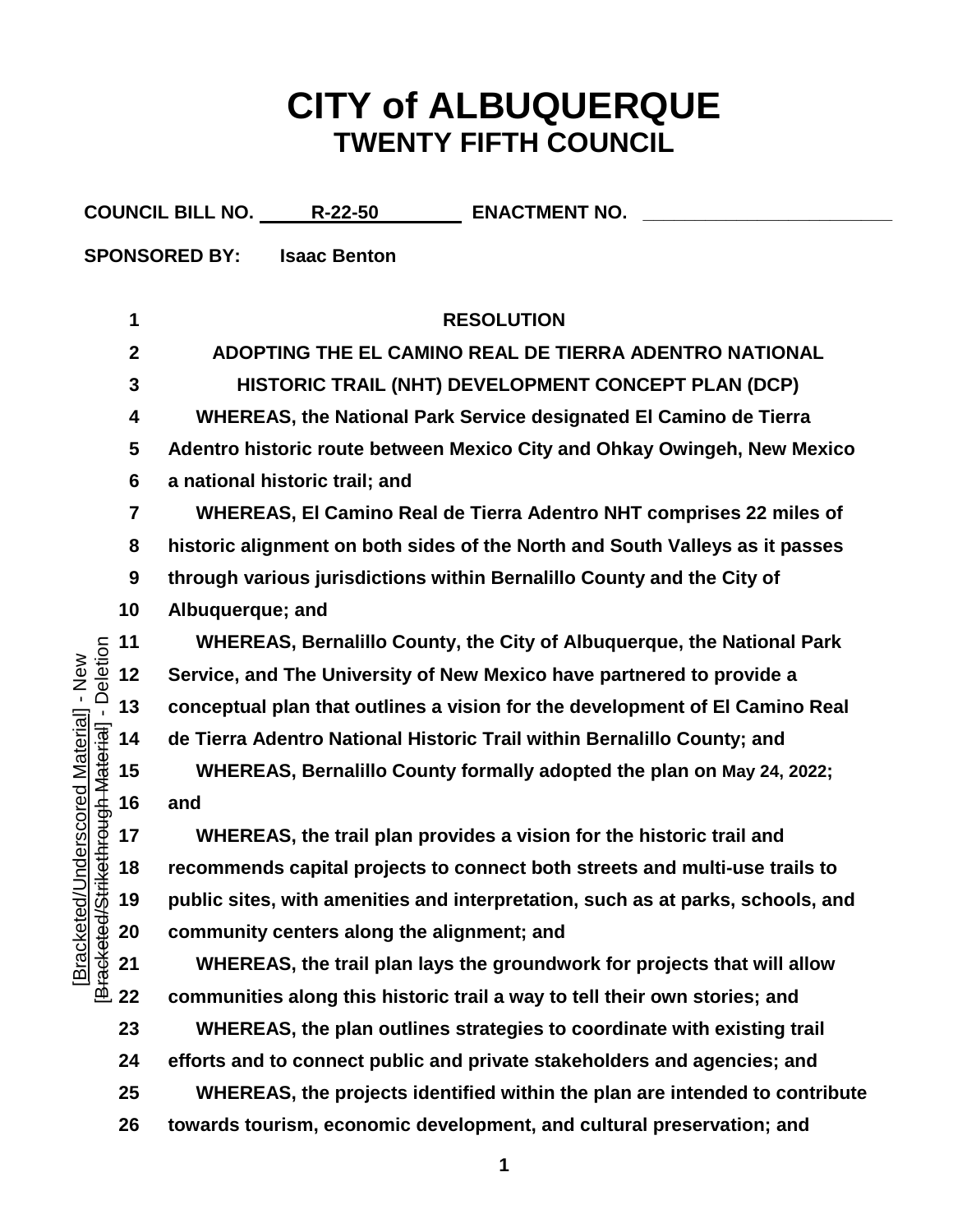## **CITY of ALBUQUERQUE TWENTY FIFTH COUNCIL**

|                                           |                         | COUNCIL BILL NO. R-22-50<br><b>ENACTMENT NO.</b>                                |
|-------------------------------------------|-------------------------|---------------------------------------------------------------------------------|
|                                           |                         | <b>SPONSORED BY:</b><br><b>Isaac Benton</b>                                     |
|                                           |                         |                                                                                 |
|                                           | 1                       | <b>RESOLUTION</b>                                                               |
|                                           | $\boldsymbol{2}$        | ADOPTING THE EL CAMINO REAL DE TIERRA ADENTRO NATIONAL                          |
|                                           | $\mathbf{3}$            | HISTORIC TRAIL (NHT) DEVELOPMENT CONCEPT PLAN (DCP)                             |
| - Deletion<br>Inderscored Material] - New | 4                       | <b>WHEREAS, the National Park Service designated El Camino de Tierra</b>        |
|                                           | 5                       | Adentro historic route between Mexico City and Ohkay Owingeh, New Mexico        |
|                                           | $6\phantom{1}6$         | a national historic trail; and                                                  |
|                                           | $\overline{\mathbf{7}}$ | WHEREAS, El Camino Real de Tierra Adentro NHT comprises 22 miles of             |
|                                           | 8                       | historic alignment on both sides of the North and South Valleys as it passes    |
|                                           | 9                       | through various jurisdictions within Bernalillo County and the City of          |
|                                           | 10                      | Albuquerque; and                                                                |
|                                           | 11                      | WHEREAS, Bernalillo County, the City of Albuquerque, the National Park          |
|                                           | 12                      | Service, and The University of New Mexico have partnered to provide a           |
|                                           | 13                      | conceptual plan that outlines a vision for the development of El Camino Real    |
| kethrough Material                        | 14                      | de Tierra Adentro National Historic Trail within Bernalillo County; and         |
|                                           | 15                      | WHEREAS, Bernalillo County formally adopted the plan on May 24, 2022;           |
|                                           | 16                      | and                                                                             |
|                                           | 17                      | WHEREAS, the trail plan provides a vision for the historic trail and            |
|                                           | 18                      | recommends capital projects to connect both streets and multi-use trails to     |
|                                           | 19                      | public sites, with amenities and interpretation, such as at parks, schools, and |
|                                           | 20                      | community centers along the alignment; and                                      |
| Bracketed/Stri<br><b>Bracketed/L</b>      | 21                      | WHEREAS, the trail plan lays the groundwork for projects that will allow        |
|                                           | 22                      | communities along this historic trail a way to tell their own stories; and      |
|                                           | 23                      | WHEREAS, the plan outlines strategies to coordinate with existing trail         |
|                                           | 24                      | efforts and to connect public and private stakeholders and agencies; and        |
|                                           | 25                      | WHEREAS, the projects identified within the plan are intended to contribute     |
|                                           | 26                      | towards tourism, economic development, and cultural preservation; and           |